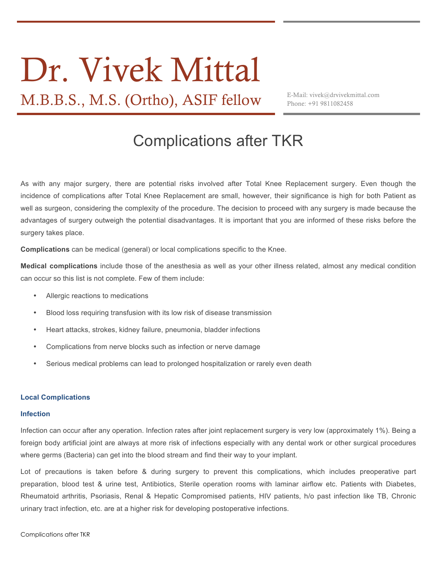# Dr. Vivek Mittal

M.B.B.S., M.S. (Ortho), ASIF fellow E-Mail: vivek@drvivekmittal.com

Phone: +91 9811082458

# Complications after TKR

As with any major surgery, there are potential risks involved after Total Knee Replacement surgery. Even though the incidence of complications after Total Knee Replacement are small, however, their significance is high for both Patient as well as surgeon, considering the complexity of the procedure. The decision to proceed with any surgery is made because the advantages of surgery outweigh the potential disadvantages. It is important that you are informed of these risks before the surgery takes place.

**Complications** can be medical (general) or local complications specific to the Knee.

**Medical complications** include those of the anesthesia as well as your other illness related, almost any medical condition can occur so this list is not complete. Few of them include:

- Allergic reactions to medications
- Blood loss requiring transfusion with its low risk of disease transmission
- Heart attacks, strokes, kidney failure, pneumonia, bladder infections
- Complications from nerve blocks such as infection or nerve damage
- Serious medical problems can lead to prolonged hospitalization or rarely even death

# **Local Complications**

# **Infection**

Infection can occur after any operation. Infection rates after joint replacement surgery is very low (approximately 1%). Being a foreign body artificial joint are always at more risk of infections especially with any dental work or other surgical procedures where germs (Bacteria) can get into the blood stream and find their way to your implant.

Lot of precautions is taken before & during surgery to prevent this complications, which includes preoperative part preparation, blood test & urine test, Antibiotics, Sterile operation rooms with laminar airflow etc. Patients with Diabetes, Rheumatoid arthritis, Psoriasis, Renal & Hepatic Compromised patients, HIV patients, h/o past infection like TB, Chronic urinary tract infection, etc. are at a higher risk for developing postoperative infections.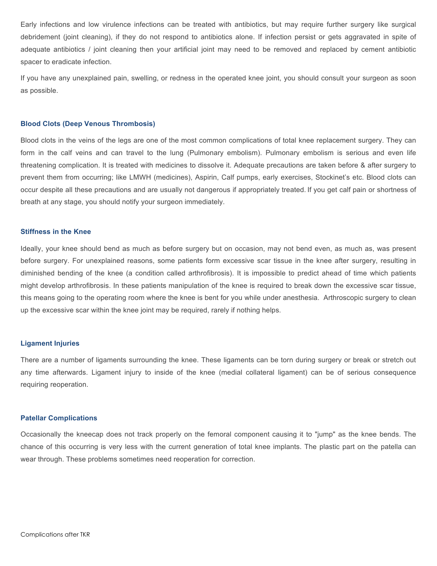Early infections and low virulence infections can be treated with antibiotics, but may require further surgery like surgical debridement (joint cleaning), if they do not respond to antibiotics alone. If infection persist or gets aggravated in spite of adequate antibiotics / joint cleaning then your artificial joint may need to be removed and replaced by cement antibiotic spacer to eradicate infection.

If you have any unexplained pain, swelling, or redness in the operated knee joint, you should consult your surgeon as soon as possible.

#### **Blood Clots (Deep Venous Thrombosis)**

Blood clots in the veins of the legs are one of the most common complications of total knee replacement surgery. They can form in the calf veins and can travel to the lung (Pulmonary embolism). Pulmonary embolism is serious and even life threatening complication. It is treated with medicines to dissolve it. Adequate precautions are taken before & after surgery to prevent them from occurring; like LMWH (medicines), Aspirin, Calf pumps, early exercises, Stockinet's etc. Blood clots can occur despite all these precautions and are usually not dangerous if appropriately treated. If you get calf pain or shortness of breath at any stage, you should notify your surgeon immediately.

# **Stiffness in the Knee**

Ideally, your knee should bend as much as before surgery but on occasion, may not bend even, as much as, was present before surgery. For unexplained reasons, some patients form excessive scar tissue in the knee after surgery, resulting in diminished bending of the knee (a condition called arthrofibrosis). It is impossible to predict ahead of time which patients might develop arthrofibrosis. In these patients manipulation of the knee is required to break down the excessive scar tissue, this means going to the operating room where the knee is bent for you while under anesthesia. Arthroscopic surgery to clean up the excessive scar within the knee joint may be required, rarely if nothing helps.

#### **Ligament Injuries**

There are a number of ligaments surrounding the knee. These ligaments can be torn during surgery or break or stretch out any time afterwards. Ligament injury to inside of the knee (medial collateral ligament) can be of serious consequence requiring reoperation.

#### **Patellar Complications**

Occasionally the kneecap does not track properly on the femoral component causing it to "jump" as the knee bends. The chance of this occurring is very less with the current generation of total knee implants. The plastic part on the patella can wear through. These problems sometimes need reoperation for correction.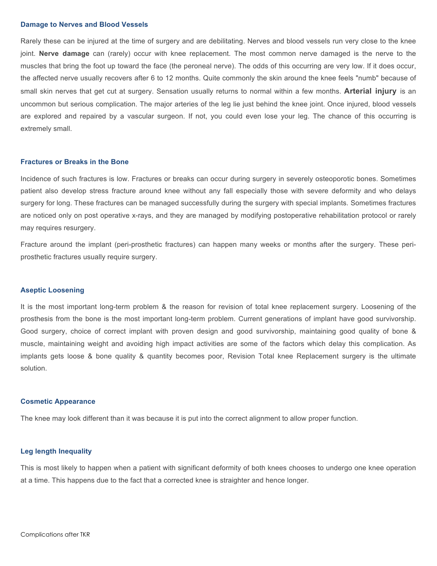#### **Damage to Nerves and Blood Vessels**

Rarely these can be injured at the time of surgery and are debilitating. Nerves and blood vessels run very close to the knee joint. **Nerve damage** can (rarely) occur with knee replacement. The most common nerve damaged is the nerve to the muscles that bring the foot up toward the face (the peroneal nerve). The odds of this occurring are very low. If it does occur, the affected nerve usually recovers after 6 to 12 months. Quite commonly the skin around the knee feels "numb" because of small skin nerves that get cut at surgery. Sensation usually returns to normal within a few months. **Arterial injury** is an uncommon but serious complication. The major arteries of the leg lie just behind the knee joint. Once injured, blood vessels are explored and repaired by a vascular surgeon. If not, you could even lose your leg. The chance of this occurring is extremely small.

#### **Fractures or Breaks in the Bone**

Incidence of such fractures is low. Fractures or breaks can occur during surgery in severely osteoporotic bones. Sometimes patient also develop stress fracture around knee without any fall especially those with severe deformity and who delays surgery for long. These fractures can be managed successfully during the surgery with special implants. Sometimes fractures are noticed only on post operative x-rays, and they are managed by modifying postoperative rehabilitation protocol or rarely may requires resurgery.

Fracture around the implant (peri-prosthetic fractures) can happen many weeks or months after the surgery. These periprosthetic fractures usually require surgery.

#### **Aseptic Loosening**

It is the most important long-term problem & the reason for revision of total knee replacement surgery. Loosening of the prosthesis from the bone is the most important long-term problem. Current generations of implant have good survivorship. Good surgery, choice of correct implant with proven design and good survivorship, maintaining good quality of bone & muscle, maintaining weight and avoiding high impact activities are some of the factors which delay this complication. As implants gets loose & bone quality & quantity becomes poor, Revision Total knee Replacement surgery is the ultimate solution.

#### **Cosmetic Appearance**

The knee may look different than it was because it is put into the correct alignment to allow proper function.

# **Leg length Inequality**

This is most likely to happen when a patient with significant deformity of both knees chooses to undergo one knee operation at a time. This happens due to the fact that a corrected knee is straighter and hence longer.